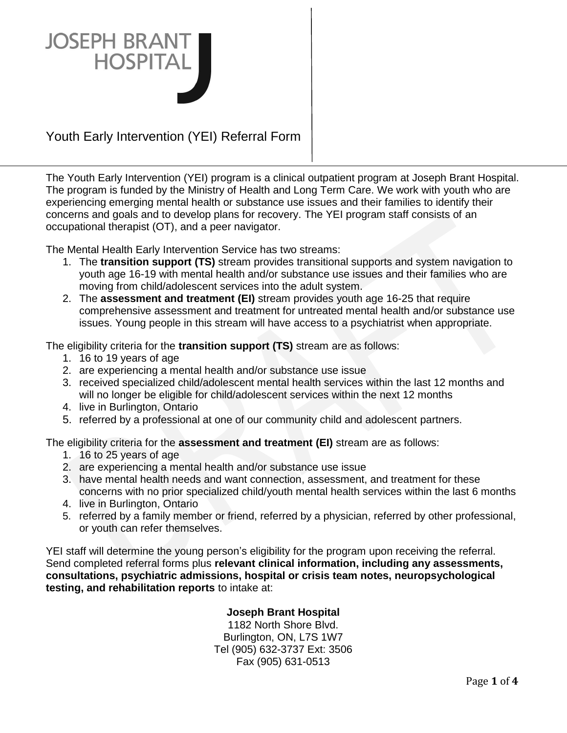

# Youth Early Intervention (YEI) Referral Form

The Youth Early Intervention (YEI) program is a clinical outpatient program at Joseph Brant Hospital. The program is funded by the Ministry of Health and Long Term Care. We work with youth who are experiencing emerging mental health or substance use issues and their families to identify their concerns and goals and to develop plans for recovery. The YEI program staff consists of an occupational therapist (OT), and a peer navigator.

The Mental Health Early Intervention Service has two streams:

- 1. The **transition support (TS)** stream provides transitional supports and system navigation to youth age 16-19 with mental health and/or substance use issues and their families who are moving from child/adolescent services into the adult system.
- 2. The **assessment and treatment (EI)** stream provides youth age 16-25 that require comprehensive assessment and treatment for untreated mental health and/or substance use issues. Young people in this stream will have access to a psychiatrist when appropriate.

The eligibility criteria for the **transition support (TS)** stream are as follows:

- 1. 16 to 19 years of age
- 2. are experiencing a mental health and/or substance use issue
- 3. received specialized child/adolescent mental health services within the last 12 months and will no longer be eligible for child/adolescent services within the next 12 months
- 4. live in Burlington, Ontario
- 5. referred by a professional at one of our community child and adolescent partners.

The eligibility criteria for the **assessment and treatment (EI)** stream are as follows:

- 1. 16 to 25 years of age
- 2. are experiencing a mental health and/or substance use issue
- 3. have mental health needs and want connection, assessment, and treatment for these concerns with no prior specialized child/youth mental health services within the last 6 months
- 4. live in Burlington, Ontario
- 5. referred by a family member or friend, referred by a physician, referred by other professional, or youth can refer themselves.

YEI staff will determine the young person's eligibility for the program upon receiving the referral. Send completed referral forms plus **relevant clinical information, including any assessments, consultations, psychiatric admissions, hospital or crisis team notes, neuropsychological testing, and rehabilitation reports** to intake at:

### **Joseph Brant Hospital**

1182 North Shore Blvd. Burlington, ON, L7S 1W7 Tel (905) 632-3737 Ext: 3506 Fax (905) 631-0513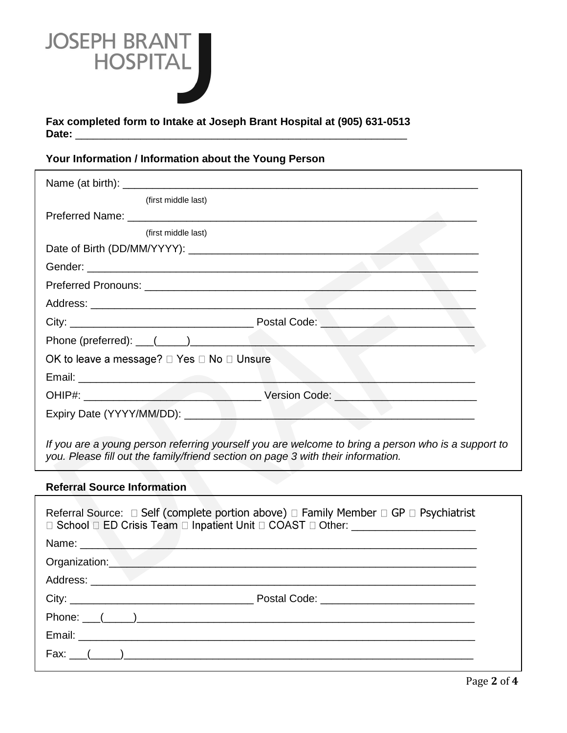

**Fax completed form to Intake at Joseph Brant Hospital at (905) 631-0513** Date:

# **Your Information / Information about the Young Person**

| (first middle last)                                                        |                                                                                                    |  |
|----------------------------------------------------------------------------|----------------------------------------------------------------------------------------------------|--|
|                                                                            |                                                                                                    |  |
| (first middle last)                                                        |                                                                                                    |  |
|                                                                            |                                                                                                    |  |
|                                                                            |                                                                                                    |  |
|                                                                            |                                                                                                    |  |
|                                                                            |                                                                                                    |  |
|                                                                            |                                                                                                    |  |
| Phone (preferred): $\underline{\hspace{1cm}}$ $(\underline{\hspace{1cm}})$ |                                                                                                    |  |
| OK to leave a message? □ Yes □ No □ Unsure                                 |                                                                                                    |  |
|                                                                            |                                                                                                    |  |
|                                                                            |                                                                                                    |  |
|                                                                            |                                                                                                    |  |
|                                                                            |                                                                                                    |  |
|                                                                            | If you are a voung person referring vourself you are welcome to bring a person who is a support to |  |

*If you are a young person referring yourself you are welcome to bring a person who is a support to you. Please fill out the family/friend section on page 3 with their information.*

#### **Referral Source Information**

| Referral Source: $\Box$ Self (complete portion above) $\Box$ Family Member $\Box$ GP $\Box$ Psychiatrist<br>□ School □ ED Crisis Team □ Inpatient Unit □ COAST □ Other: ___________________ |  |  |  |
|---------------------------------------------------------------------------------------------------------------------------------------------------------------------------------------------|--|--|--|
|                                                                                                                                                                                             |  |  |  |
| Organization:                                                                                                                                                                               |  |  |  |
|                                                                                                                                                                                             |  |  |  |
|                                                                                                                                                                                             |  |  |  |
|                                                                                                                                                                                             |  |  |  |
|                                                                                                                                                                                             |  |  |  |
|                                                                                                                                                                                             |  |  |  |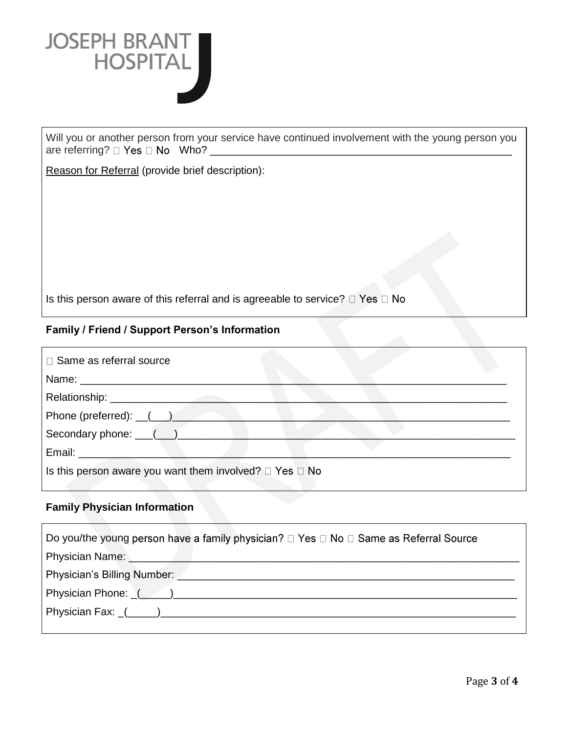

Will you or another person from your service have continued involvement with the young person you are referring? Who? \_\_\_\_\_\_\_\_\_\_\_\_\_\_\_\_\_\_\_\_\_\_\_\_\_\_\_\_\_\_\_\_\_\_\_\_\_\_\_\_\_\_\_\_\_\_\_\_\_\_\_

Reason for Referral (provide brief description):

Is this person aware of this referral and is agreeable to service?  $\Box$  Yes  $\Box$  No

### **Family / Friend / Support Person's Information**

| □ Same as referral source                                                                                                                                                                                                            |  |
|--------------------------------------------------------------------------------------------------------------------------------------------------------------------------------------------------------------------------------------|--|
|                                                                                                                                                                                                                                      |  |
|                                                                                                                                                                                                                                      |  |
| Phone (preferred): ( )                                                                                                                                                                                                               |  |
| Secondary phone: ( )                                                                                                                                                                                                                 |  |
| Email: <u>Constantino and Constantino and Constantino and Constantino and Constantino and Constantino and Constantino and Constantino and Constantino and Constantino and Constantino and Constantino and Constantino and Consta</u> |  |
| Is this person aware you want them involved? $\Box$ Yes $\Box$ No                                                                                                                                                                    |  |

## **Family Physician Information**

| Do you/the young person have a family physician? $\Box$ Yes $\Box$ No $\Box$ Same as Referral Source                   |  |  |
|------------------------------------------------------------------------------------------------------------------------|--|--|
| Physician Name: <u>Communication and Communications</u> and Christmas and Christmas and Christmas and Christmas and Ch |  |  |
| Physician's Billing Number: <u>Andrea Billing Community of Billing Community of Billing Community of Billing</u>       |  |  |
| Physician Phone: (Company Company Company Company Company Company Company Company Company Company Company Compa        |  |  |
|                                                                                                                        |  |  |
|                                                                                                                        |  |  |